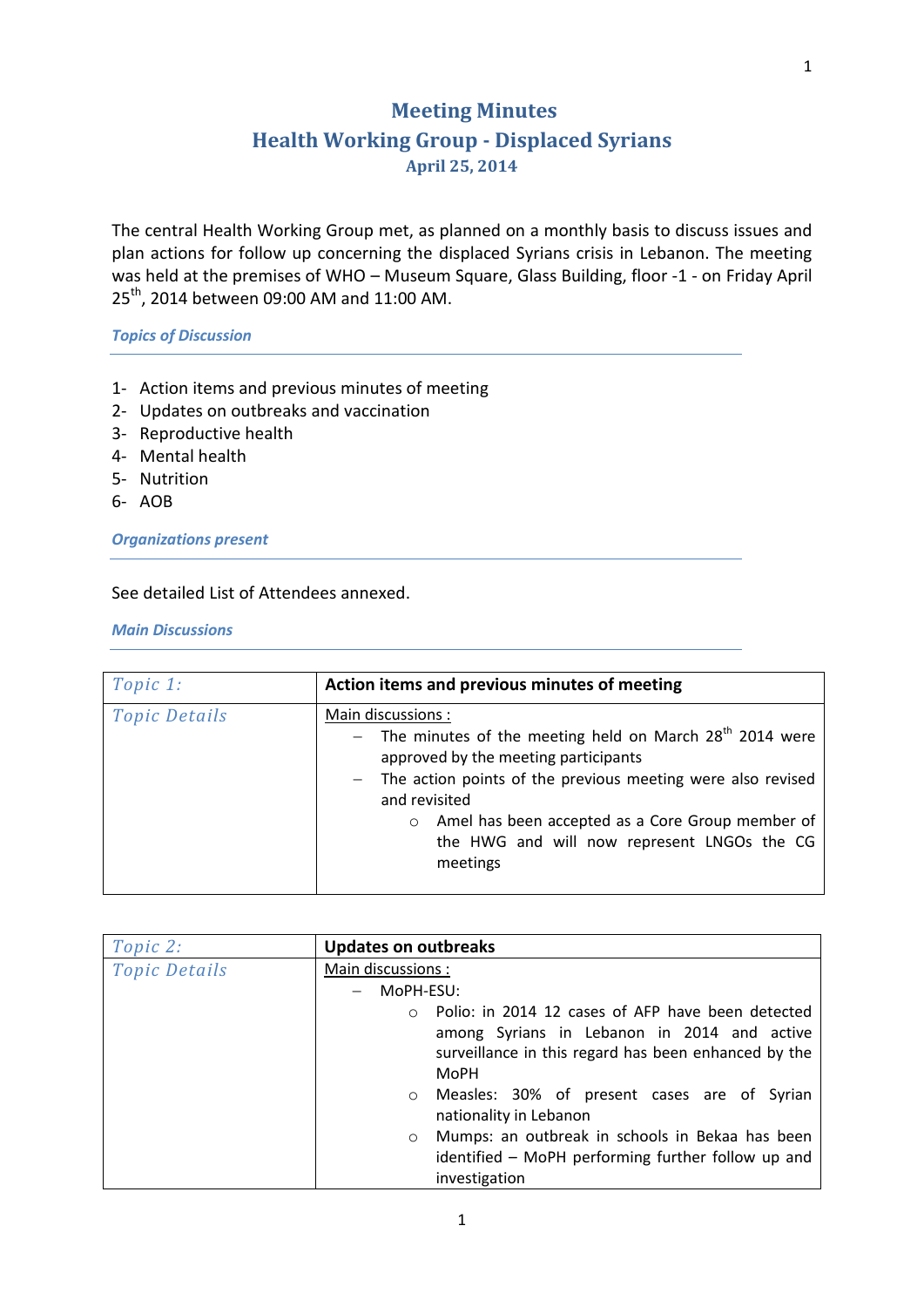## **Meeting Minutes**

## **Health Working Group - Displaced Syrians April 25, 2014**

The central Health Working Group met, as planned on a monthly basis to discuss issues and plan actions for follow up concerning the displaced Syrians crisis in Lebanon. The meeting was held at the premises of WHO – Museum Square, Glass Building, floor -1 - on Friday April 25<sup>th</sup>, 2014 between 09:00 AM and 11:00 AM.

*Topics of Discussion*

- 1- Action items and previous minutes of meeting
- 2- Updates on outbreaks and vaccination
- 3- Reproductive health
- 4- Mental health
- 5- Nutrition
- 6- AOB

*Organizations present*

See detailed List of Attendees annexed.

*Main Discussions* 

| Topic 1:             | Action items and previous minutes of meeting                                                                                                                                                                                                                                                                                         |
|----------------------|--------------------------------------------------------------------------------------------------------------------------------------------------------------------------------------------------------------------------------------------------------------------------------------------------------------------------------------|
| <b>Topic Details</b> | Main discussions:<br>- The minutes of the meeting held on March $28th$ 2014 were<br>approved by the meeting participants<br>- The action points of the previous meeting were also revised<br>and revisited<br>Amel has been accepted as a Core Group member of<br>$\circ$<br>the HWG and will now represent LNGOs the CG<br>meetings |

| Topic 2:             | <b>Updates on outbreaks</b>                                                                                                                                                                                                                                                                                                                                                                          |  |  |
|----------------------|------------------------------------------------------------------------------------------------------------------------------------------------------------------------------------------------------------------------------------------------------------------------------------------------------------------------------------------------------------------------------------------------------|--|--|
| <b>Topic Details</b> | Main discussions:                                                                                                                                                                                                                                                                                                                                                                                    |  |  |
|                      | MoPH-ESU:                                                                                                                                                                                                                                                                                                                                                                                            |  |  |
|                      | Polio: in 2014 12 cases of AFP have been detected<br>$\circ$<br>among Syrians in Lebanon in 2014 and active<br>surveillance in this regard has been enhanced by the<br>MoPH<br>Measles: 30% of present cases are of Syrian<br>$\circ$<br>nationality in Lebanon<br>Mumps: an outbreak in schools in Bekaa has been<br>$\circ$<br>identified – MoPH performing further follow up and<br>investigation |  |  |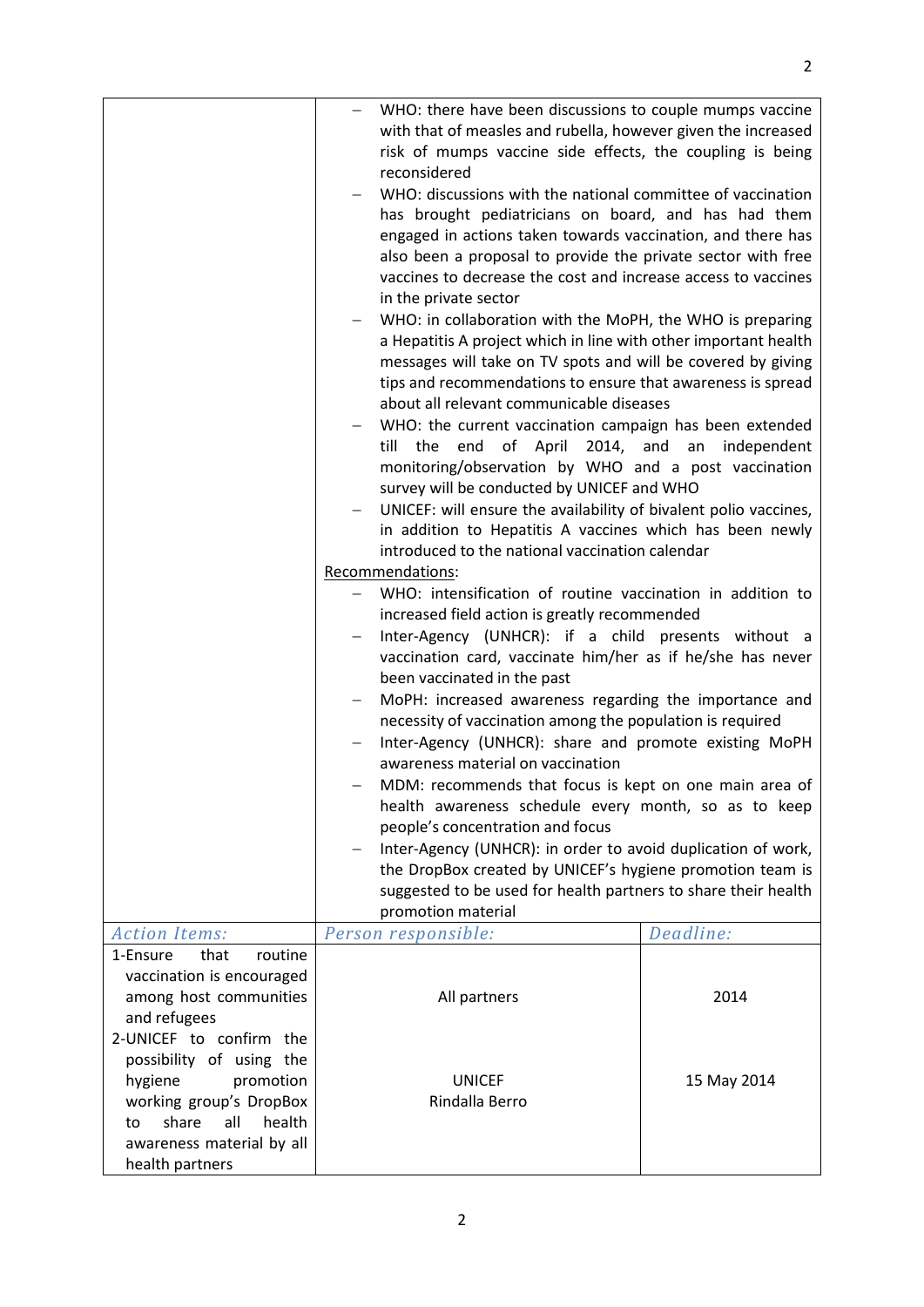|                                                     | WHO: there have been discussions to couple mumps vaccine<br>with that of measles and rubella, however given the increased<br>risk of mumps vaccine side effects, the coupling is being |                                                                                                                                                                                                                                                                                                                                  |             |  |  |  |
|-----------------------------------------------------|----------------------------------------------------------------------------------------------------------------------------------------------------------------------------------------|----------------------------------------------------------------------------------------------------------------------------------------------------------------------------------------------------------------------------------------------------------------------------------------------------------------------------------|-------------|--|--|--|
|                                                     |                                                                                                                                                                                        | reconsidered                                                                                                                                                                                                                                                                                                                     |             |  |  |  |
|                                                     |                                                                                                                                                                                        | WHO: discussions with the national committee of vaccination<br>has brought pediatricians on board, and has had them<br>engaged in actions taken towards vaccination, and there has<br>also been a proposal to provide the private sector with free                                                                               |             |  |  |  |
|                                                     |                                                                                                                                                                                        | vaccines to decrease the cost and increase access to vaccines                                                                                                                                                                                                                                                                    |             |  |  |  |
|                                                     |                                                                                                                                                                                        | in the private sector<br>WHO: in collaboration with the MoPH, the WHO is preparing<br>a Hepatitis A project which in line with other important health<br>messages will take on TV spots and will be covered by giving<br>tips and recommendations to ensure that awareness is spread<br>about all relevant communicable diseases |             |  |  |  |
|                                                     |                                                                                                                                                                                        | WHO: the current vaccination campaign has been extended<br>till the end of April 2014, and an independent                                                                                                                                                                                                                        |             |  |  |  |
|                                                     |                                                                                                                                                                                        | monitoring/observation by WHO and a post vaccination<br>survey will be conducted by UNICEF and WHO                                                                                                                                                                                                                               |             |  |  |  |
|                                                     |                                                                                                                                                                                        | UNICEF: will ensure the availability of bivalent polio vaccines,<br>in addition to Hepatitis A vaccines which has been newly                                                                                                                                                                                                     |             |  |  |  |
|                                                     |                                                                                                                                                                                        | introduced to the national vaccination calendar                                                                                                                                                                                                                                                                                  |             |  |  |  |
|                                                     |                                                                                                                                                                                        | Recommendations:                                                                                                                                                                                                                                                                                                                 |             |  |  |  |
|                                                     | WHO: intensification of routine vaccination in addition to                                                                                                                             |                                                                                                                                                                                                                                                                                                                                  |             |  |  |  |
|                                                     | increased field action is greatly recommended<br>Inter-Agency (UNHCR): if a child presents without a                                                                                   |                                                                                                                                                                                                                                                                                                                                  |             |  |  |  |
|                                                     |                                                                                                                                                                                        | vaccination card, vaccinate him/her as if he/she has never                                                                                                                                                                                                                                                                       |             |  |  |  |
|                                                     |                                                                                                                                                                                        | been vaccinated in the past                                                                                                                                                                                                                                                                                                      |             |  |  |  |
|                                                     |                                                                                                                                                                                        | MoPH: increased awareness regarding the importance and                                                                                                                                                                                                                                                                           |             |  |  |  |
|                                                     |                                                                                                                                                                                        | necessity of vaccination among the population is required                                                                                                                                                                                                                                                                        |             |  |  |  |
|                                                     |                                                                                                                                                                                        | Inter-Agency (UNHCR): share and promote existing MoPH<br>awareness material on vaccination                                                                                                                                                                                                                                       |             |  |  |  |
|                                                     |                                                                                                                                                                                        | MDM: recommends that focus is kept on one main area of                                                                                                                                                                                                                                                                           |             |  |  |  |
|                                                     |                                                                                                                                                                                        | health awareness schedule every month, so as to keep<br>people's concentration and focus                                                                                                                                                                                                                                         |             |  |  |  |
|                                                     |                                                                                                                                                                                        | Inter-Agency (UNHCR): in order to avoid duplication of work,                                                                                                                                                                                                                                                                     |             |  |  |  |
|                                                     |                                                                                                                                                                                        | the DropBox created by UNICEF's hygiene promotion team is<br>suggested to be used for health partners to share their health                                                                                                                                                                                                      |             |  |  |  |
|                                                     |                                                                                                                                                                                        | promotion material                                                                                                                                                                                                                                                                                                               |             |  |  |  |
| <b>Action Items:</b>                                |                                                                                                                                                                                        | Person responsible:                                                                                                                                                                                                                                                                                                              | Deadline:   |  |  |  |
| 1-Ensure<br>that<br>routine                         |                                                                                                                                                                                        |                                                                                                                                                                                                                                                                                                                                  |             |  |  |  |
| vaccination is encouraged<br>among host communities |                                                                                                                                                                                        |                                                                                                                                                                                                                                                                                                                                  | 2014        |  |  |  |
| and refugees                                        | All partners                                                                                                                                                                           |                                                                                                                                                                                                                                                                                                                                  |             |  |  |  |
| 2-UNICEF to confirm the                             |                                                                                                                                                                                        |                                                                                                                                                                                                                                                                                                                                  |             |  |  |  |
| possibility of using the                            |                                                                                                                                                                                        |                                                                                                                                                                                                                                                                                                                                  |             |  |  |  |
| hygiene<br>promotion                                |                                                                                                                                                                                        | <b>UNICEF</b>                                                                                                                                                                                                                                                                                                                    | 15 May 2014 |  |  |  |
| working group's DropBox                             |                                                                                                                                                                                        | Rindalla Berro                                                                                                                                                                                                                                                                                                                   |             |  |  |  |
| share<br>all<br>health<br>to                        |                                                                                                                                                                                        |                                                                                                                                                                                                                                                                                                                                  |             |  |  |  |
| awareness material by all                           |                                                                                                                                                                                        |                                                                                                                                                                                                                                                                                                                                  |             |  |  |  |
| health partners                                     |                                                                                                                                                                                        |                                                                                                                                                                                                                                                                                                                                  |             |  |  |  |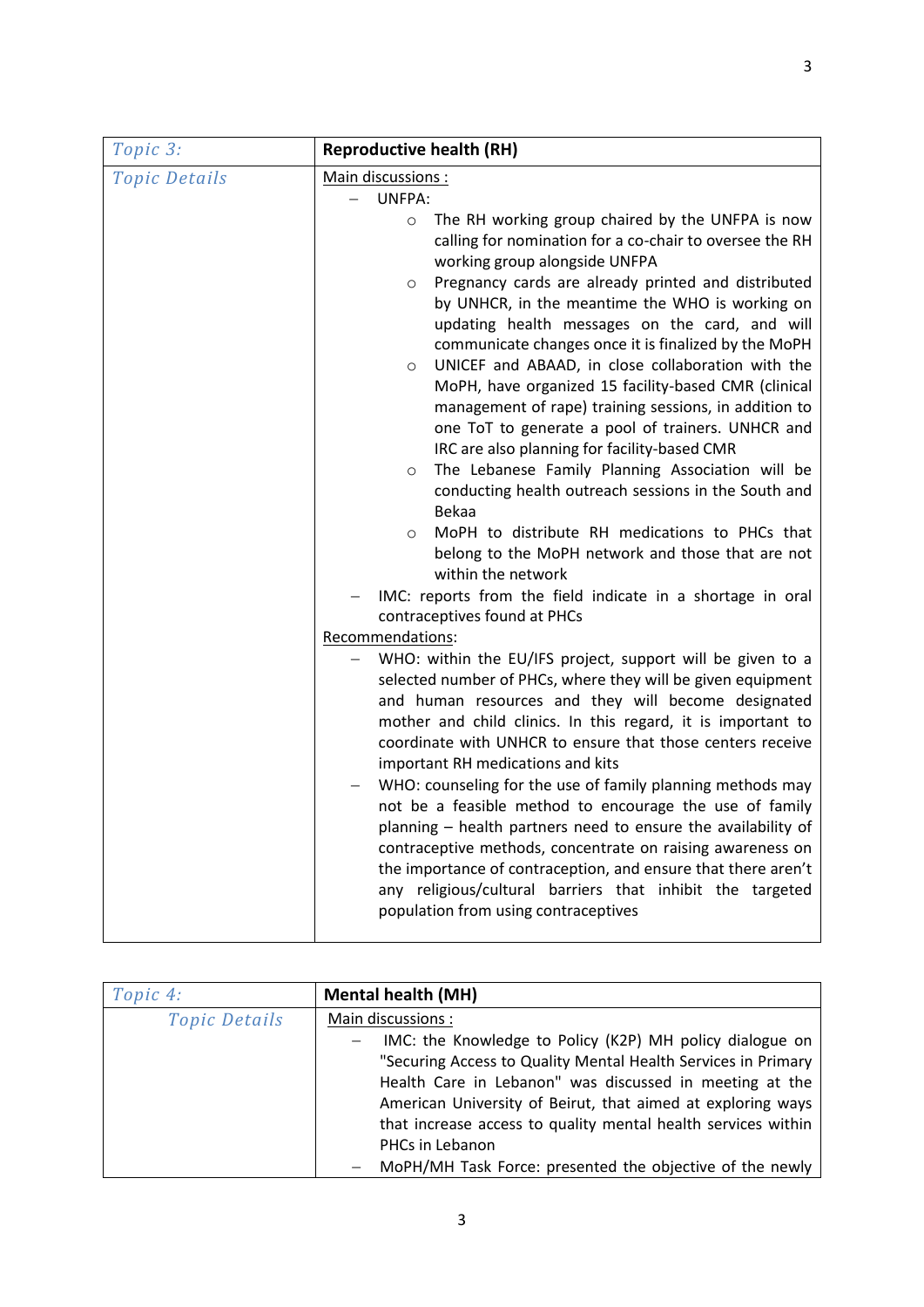| Topic 3:             | <b>Reproductive health (RH)</b>                                                                                                                                                                                                                                                                                                                                                                                                                                                                                                                                                                                                                                                                                                                                                                                                                                                                                                                                                                                                                                               |  |
|----------------------|-------------------------------------------------------------------------------------------------------------------------------------------------------------------------------------------------------------------------------------------------------------------------------------------------------------------------------------------------------------------------------------------------------------------------------------------------------------------------------------------------------------------------------------------------------------------------------------------------------------------------------------------------------------------------------------------------------------------------------------------------------------------------------------------------------------------------------------------------------------------------------------------------------------------------------------------------------------------------------------------------------------------------------------------------------------------------------|--|
| <b>Topic Details</b> | Main discussions :<br>UNFPA:                                                                                                                                                                                                                                                                                                                                                                                                                                                                                                                                                                                                                                                                                                                                                                                                                                                                                                                                                                                                                                                  |  |
|                      | The RH working group chaired by the UNFPA is now<br>$\circ$<br>calling for nomination for a co-chair to oversee the RH<br>working group alongside UNFPA<br>Pregnancy cards are already printed and distributed<br>$\circ$<br>by UNHCR, in the meantime the WHO is working on<br>updating health messages on the card, and will<br>communicate changes once it is finalized by the MoPH<br>UNICEF and ABAAD, in close collaboration with the<br>$\circ$<br>MoPH, have organized 15 facility-based CMR (clinical<br>management of rape) training sessions, in addition to<br>one ToT to generate a pool of trainers. UNHCR and<br>IRC are also planning for facility-based CMR<br>The Lebanese Family Planning Association will be<br>$\circ$<br>conducting health outreach sessions in the South and<br><b>Bekaa</b><br>MoPH to distribute RH medications to PHCs that<br>$\circ$<br>belong to the MoPH network and those that are not<br>within the network<br>IMC: reports from the field indicate in a shortage in oral<br>contraceptives found at PHCs<br>Recommendations: |  |
|                      | WHO: within the EU/IFS project, support will be given to a<br>selected number of PHCs, where they will be given equipment<br>and human resources and they will become designated<br>mother and child clinics. In this regard, it is important to<br>coordinate with UNHCR to ensure that those centers receive<br>important RH medications and kits<br>WHO: counseling for the use of family planning methods may<br>not be a feasible method to encourage the use of family<br>planning - health partners need to ensure the availability of<br>contraceptive methods, concentrate on raising awareness on<br>the importance of contraception, and ensure that there aren't<br>any religious/cultural barriers that inhibit the targeted<br>population from using contraceptives                                                                                                                                                                                                                                                                                             |  |

| Topic 4:             | <b>Mental health (MH)</b>                                     |  |
|----------------------|---------------------------------------------------------------|--|
| <b>Topic Details</b> | Main discussions:                                             |  |
|                      | IMC: the Knowledge to Policy (K2P) MH policy dialogue on      |  |
|                      | "Securing Access to Quality Mental Health Services in Primary |  |
|                      | Health Care in Lebanon" was discussed in meeting at the       |  |
|                      | American University of Beirut, that aimed at exploring ways   |  |
|                      | that increase access to quality mental health services within |  |
|                      | PHCs in Lebanon                                               |  |
|                      | MoPH/MH Task Force: presented the objective of the newly      |  |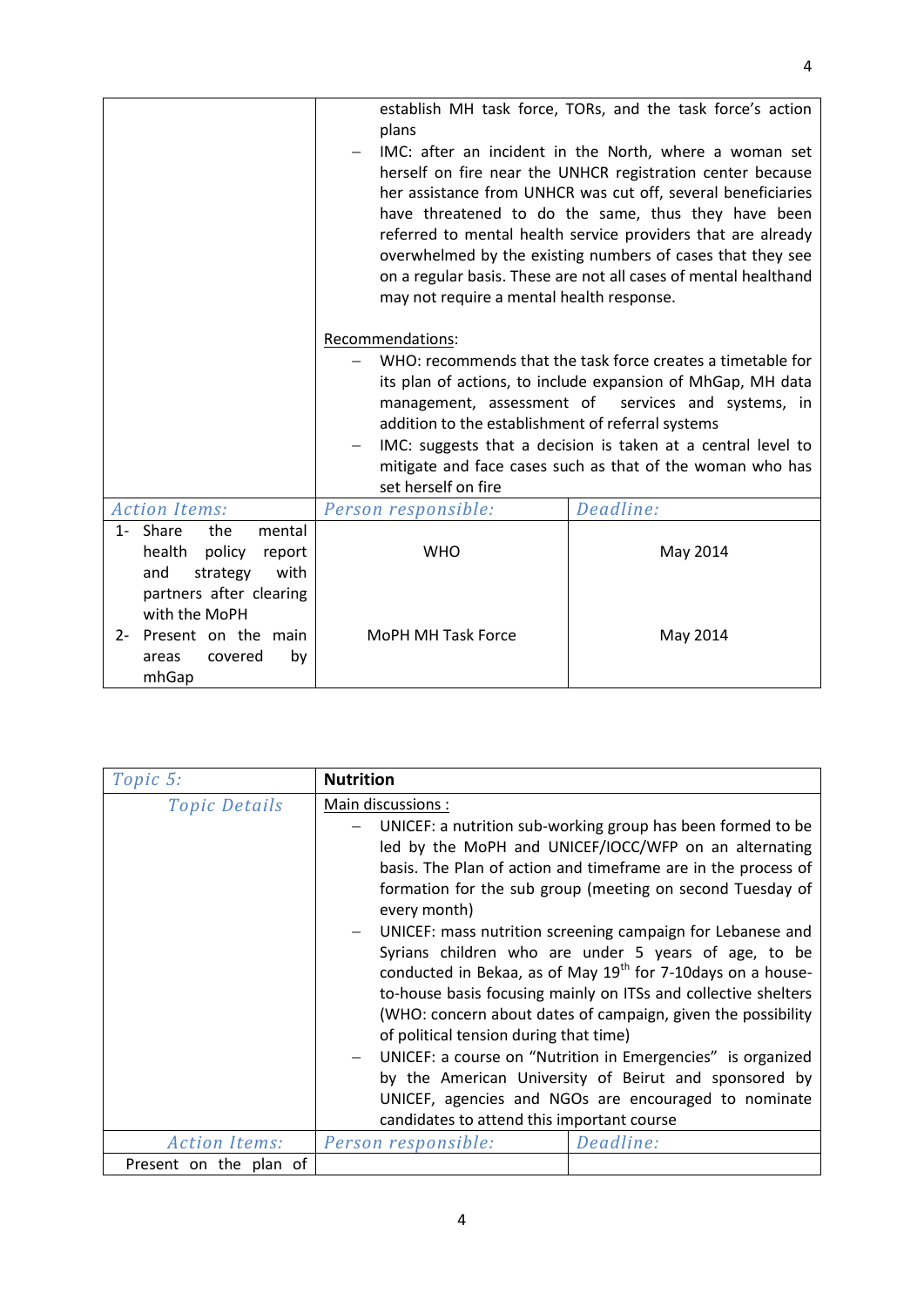|                                                                                                             | establish MH task force, TORs, and the task force's action<br>plans                                                                                                                                                                                                                                                                                                                                                                                                                       |                                                                                                                                                                                                                                                                                                               |  |
|-------------------------------------------------------------------------------------------------------------|-------------------------------------------------------------------------------------------------------------------------------------------------------------------------------------------------------------------------------------------------------------------------------------------------------------------------------------------------------------------------------------------------------------------------------------------------------------------------------------------|---------------------------------------------------------------------------------------------------------------------------------------------------------------------------------------------------------------------------------------------------------------------------------------------------------------|--|
|                                                                                                             | IMC: after an incident in the North, where a woman set<br>herself on fire near the UNHCR registration center because<br>her assistance from UNHCR was cut off, several beneficiaries<br>have threatened to do the same, thus they have been<br>referred to mental health service providers that are already<br>overwhelmed by the existing numbers of cases that they see<br>on a regular basis. These are not all cases of mental healthand<br>may not require a mental health response. |                                                                                                                                                                                                                                                                                                               |  |
|                                                                                                             | Recommendations:                                                                                                                                                                                                                                                                                                                                                                                                                                                                          |                                                                                                                                                                                                                                                                                                               |  |
|                                                                                                             | addition to the establishment of referral systems<br>set herself on fire                                                                                                                                                                                                                                                                                                                                                                                                                  | WHO: recommends that the task force creates a timetable for<br>its plan of actions, to include expansion of MhGap, MH data<br>management, assessment of services and systems, in<br>IMC: suggests that a decision is taken at a central level to<br>mitigate and face cases such as that of the woman who has |  |
| <b>Action Items:</b>                                                                                        | Person responsible:                                                                                                                                                                                                                                                                                                                                                                                                                                                                       | Deadline:                                                                                                                                                                                                                                                                                                     |  |
| mental<br>1- Share<br>the<br>policy<br>health<br>report<br>strategy<br>with<br>and                          | <b>WHO</b>                                                                                                                                                                                                                                                                                                                                                                                                                                                                                | May 2014                                                                                                                                                                                                                                                                                                      |  |
| partners after clearing<br>with the MoPH<br>Present on the main<br>$2 -$<br>covered<br>by<br>areas<br>mhGap | MoPH MH Task Force                                                                                                                                                                                                                                                                                                                                                                                                                                                                        | May 2014                                                                                                                                                                                                                                                                                                      |  |

| Topic 5:               | <b>Nutrition</b>                                                                                                                                                                                                                                                                                                                                                                                                                                                                                                                                                                                                                                 |           |  |
|------------------------|--------------------------------------------------------------------------------------------------------------------------------------------------------------------------------------------------------------------------------------------------------------------------------------------------------------------------------------------------------------------------------------------------------------------------------------------------------------------------------------------------------------------------------------------------------------------------------------------------------------------------------------------------|-----------|--|
| <b>Topic Details</b>   | Main discussions :                                                                                                                                                                                                                                                                                                                                                                                                                                                                                                                                                                                                                               |           |  |
|                        | UNICEF: a nutrition sub-working group has been formed to be<br>led by the MoPH and UNICEF/IOCC/WFP on an alternating<br>basis. The Plan of action and timeframe are in the process of<br>formation for the sub group (meeting on second Tuesday of<br>every month)<br>UNICEF: mass nutrition screening campaign for Lebanese and<br>Syrians children who are under 5 years of age, to be<br>conducted in Bekaa, as of May 19 <sup>th</sup> for 7-10 days on a house-<br>to-house basis focusing mainly on ITSs and collective shelters<br>(WHO: concern about dates of campaign, given the possibility<br>of political tension during that time) |           |  |
|                        |                                                                                                                                                                                                                                                                                                                                                                                                                                                                                                                                                                                                                                                  |           |  |
|                        | UNICEF: a course on "Nutrition in Emergencies" is organized<br>by the American University of Beirut and sponsored by<br>UNICEF, agencies and NGOs are encouraged to nominate                                                                                                                                                                                                                                                                                                                                                                                                                                                                     |           |  |
|                        | candidates to attend this important course                                                                                                                                                                                                                                                                                                                                                                                                                                                                                                                                                                                                       |           |  |
| <b>Action Items:</b>   | Person responsible:                                                                                                                                                                                                                                                                                                                                                                                                                                                                                                                                                                                                                              | Deadline: |  |
| Present on the plan of |                                                                                                                                                                                                                                                                                                                                                                                                                                                                                                                                                                                                                                                  |           |  |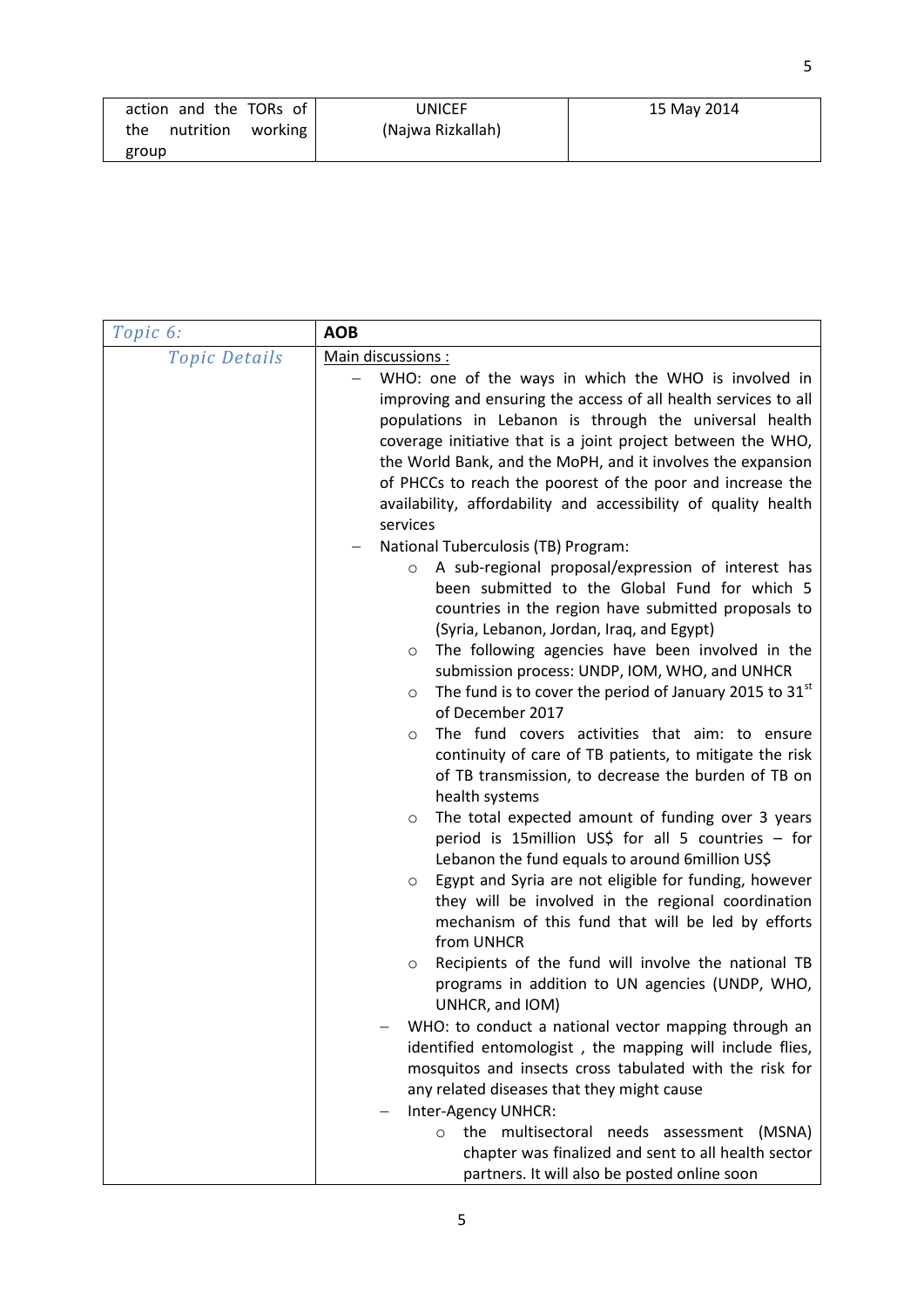| action and the TORs of      | JNICEF            | 15 May 2014 |
|-----------------------------|-------------------|-------------|
| nutrition<br>working<br>the | (Najwa Rizkallah) |             |
| group                       |                   |             |

| Topic 6:             | <b>AOB</b>                                                                                                     |  |  |
|----------------------|----------------------------------------------------------------------------------------------------------------|--|--|
| <b>Topic Details</b> | Main discussions :                                                                                             |  |  |
|                      | WHO: one of the ways in which the WHO is involved in                                                           |  |  |
|                      | improving and ensuring the access of all health services to all                                                |  |  |
|                      | populations in Lebanon is through the universal health                                                         |  |  |
|                      | coverage initiative that is a joint project between the WHO,                                                   |  |  |
|                      | the World Bank, and the MoPH, and it involves the expansion                                                    |  |  |
|                      | of PHCCs to reach the poorest of the poor and increase the                                                     |  |  |
|                      | availability, affordability and accessibility of quality health                                                |  |  |
|                      | services                                                                                                       |  |  |
|                      | National Tuberculosis (TB) Program:                                                                            |  |  |
|                      | A sub-regional proposal/expression of interest has<br>$\circ$<br>been submitted to the Global Fund for which 5 |  |  |
|                      | countries in the region have submitted proposals to                                                            |  |  |
|                      | (Syria, Lebanon, Jordan, Iraq, and Egypt)                                                                      |  |  |
|                      | The following agencies have been involved in the<br>O                                                          |  |  |
|                      | submission process: UNDP, IOM, WHO, and UNHCR                                                                  |  |  |
|                      | The fund is to cover the period of January 2015 to $31st$<br>$\circ$                                           |  |  |
|                      | of December 2017                                                                                               |  |  |
|                      | The fund covers activities that aim: to ensure<br>$\circ$                                                      |  |  |
|                      | continuity of care of TB patients, to mitigate the risk                                                        |  |  |
|                      | of TB transmission, to decrease the burden of TB on                                                            |  |  |
|                      | health systems                                                                                                 |  |  |
|                      | The total expected amount of funding over 3 years<br>$\circ$                                                   |  |  |
|                      | period is 15million US\$ for all 5 countries - for<br>Lebanon the fund equals to around 6million US\$          |  |  |
|                      | Egypt and Syria are not eligible for funding, however<br>$\circ$                                               |  |  |
|                      | they will be involved in the regional coordination                                                             |  |  |
|                      | mechanism of this fund that will be led by efforts                                                             |  |  |
|                      | from UNHCR                                                                                                     |  |  |
|                      | Recipients of the fund will involve the national TB<br>$\circ$                                                 |  |  |
|                      | programs in addition to UN agencies (UNDP, WHO,                                                                |  |  |
|                      | UNHCR, and IOM)                                                                                                |  |  |
|                      | WHO: to conduct a national vector mapping through an                                                           |  |  |
|                      | identified entomologist, the mapping will include flies,                                                       |  |  |
|                      | mosquitos and insects cross tabulated with the risk for                                                        |  |  |
|                      | any related diseases that they might cause                                                                     |  |  |
|                      | Inter-Agency UNHCR:                                                                                            |  |  |
|                      | the multisectoral needs assessment (MSNA)<br>$\circ$                                                           |  |  |
|                      | chapter was finalized and sent to all health sector<br>partners. It will also be posted online soon            |  |  |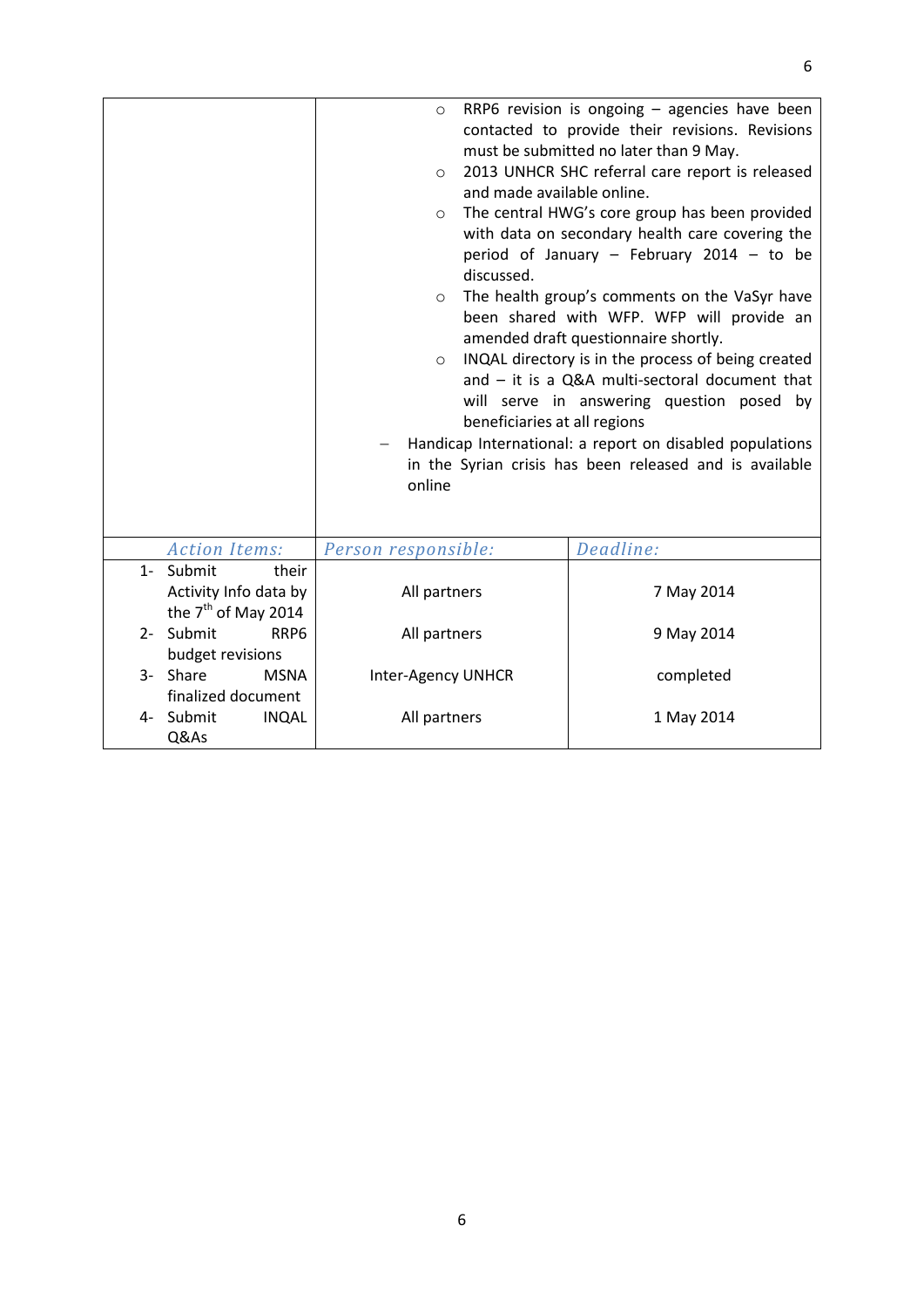|                                 | $\circ$                                                                                  | RRP6 revision is ongoing - agencies have been<br>contacted to provide their revisions. Revisions |  |
|---------------------------------|------------------------------------------------------------------------------------------|--------------------------------------------------------------------------------------------------|--|
|                                 | O                                                                                        | must be submitted no later than 9 May.<br>2013 UNHCR SHC referral care report is released        |  |
|                                 | and made available online.                                                               |                                                                                                  |  |
|                                 | $\circ$                                                                                  | The central HWG's core group has been provided                                                   |  |
|                                 |                                                                                          | with data on secondary health care covering the                                                  |  |
|                                 |                                                                                          | period of January - February 2014 - to be                                                        |  |
|                                 | discussed.<br>$\circ$                                                                    | The health group's comments on the VaSyr have                                                    |  |
|                                 |                                                                                          | been shared with WFP. WFP will provide an                                                        |  |
|                                 |                                                                                          | amended draft questionnaire shortly.                                                             |  |
|                                 | $\circ$                                                                                  | INQAL directory is in the process of being created                                               |  |
|                                 | and $-$ it is a Q&A multi-sectoral document that                                         |                                                                                                  |  |
|                                 | will serve in answering question posed by                                                |                                                                                                  |  |
|                                 | beneficiaries at all regions<br>Handicap International: a report on disabled populations |                                                                                                  |  |
|                                 | in the Syrian crisis has been released and is available                                  |                                                                                                  |  |
|                                 | online                                                                                   |                                                                                                  |  |
|                                 |                                                                                          |                                                                                                  |  |
| <b>Action Items:</b>            | Person responsible:                                                                      | Deadline:                                                                                        |  |
| 1- Submit<br>their              |                                                                                          |                                                                                                  |  |
| Activity Info data by           | All partners                                                                             | 7 May 2014                                                                                       |  |
| the 7 <sup>th</sup> of May 2014 |                                                                                          |                                                                                                  |  |
| 2- Submit<br>RRP <sub>6</sub>   | All partners                                                                             | 9 May 2014                                                                                       |  |
| budget revisions                |                                                                                          |                                                                                                  |  |
| 3- Share<br><b>MSNA</b>         | Inter-Agency UNHCR                                                                       | completed                                                                                        |  |
| finalized document              |                                                                                          |                                                                                                  |  |
| Submit<br><b>INQAL</b><br>4-    | All partners                                                                             | 1 May 2014                                                                                       |  |
| Q&As                            |                                                                                          |                                                                                                  |  |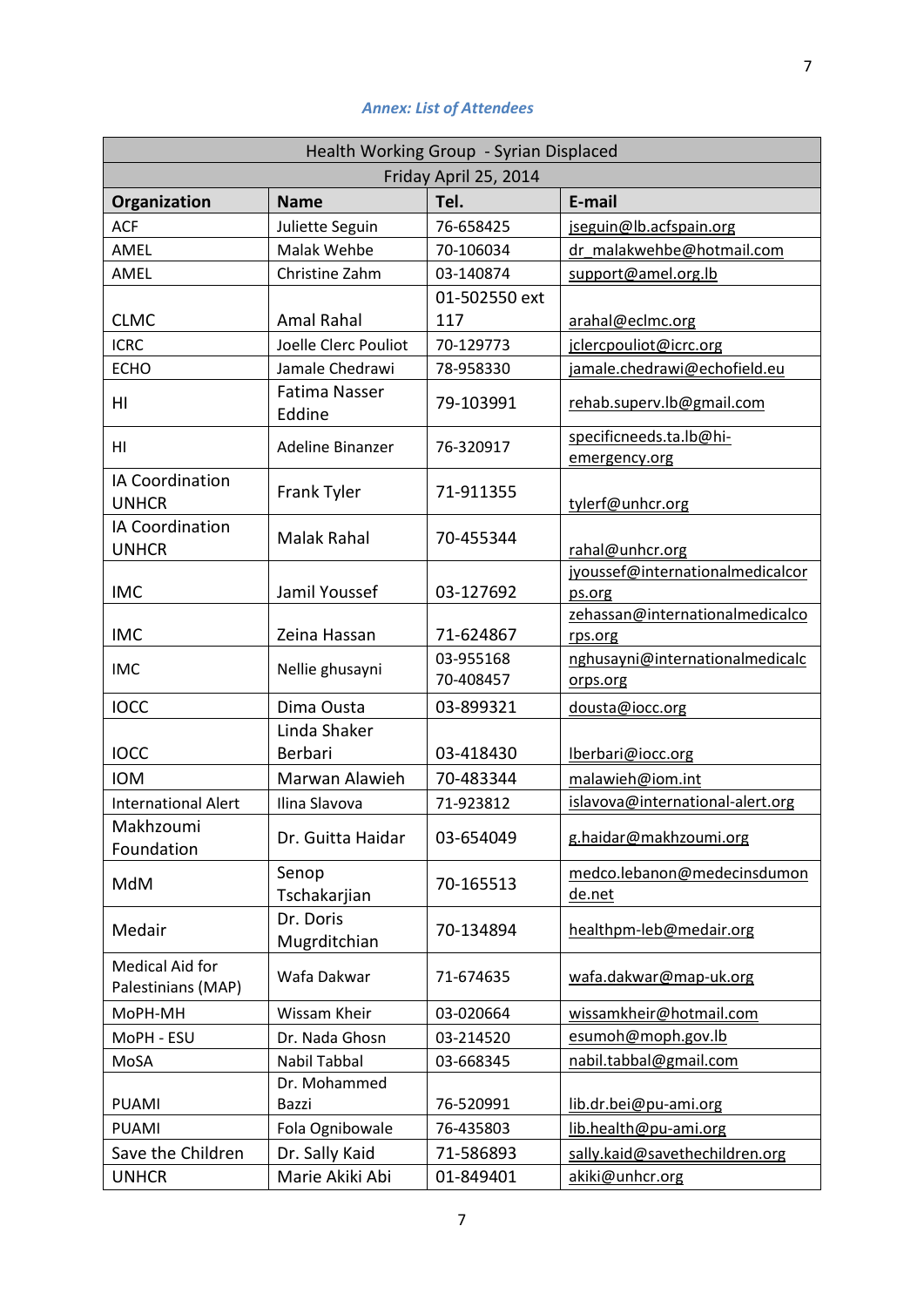## *Annex: List of Attendees*

| Health Working Group - Syrian Displaced      |                                |               |                                            |
|----------------------------------------------|--------------------------------|---------------|--------------------------------------------|
| Friday April 25, 2014                        |                                |               |                                            |
| Organization                                 | <b>Name</b>                    | Tel.          | E-mail                                     |
| <b>ACF</b>                                   | Juliette Seguin                | 76-658425     | jseguin@lb.acfspain.org                    |
| AMEL                                         | Malak Wehbe                    | 70-106034     | dr malakwehbe@hotmail.com                  |
| AMEL                                         | Christine Zahm                 | 03-140874     | support@amel.org.lb                        |
|                                              |                                | 01-502550 ext |                                            |
| <b>CLMC</b>                                  | Amal Rahal                     | 117           | arahal@eclmc.org                           |
| <b>ICRC</b>                                  | Joelle Clerc Pouliot           | 70-129773     | jclercpouliot@icrc.org                     |
| <b>ECHO</b>                                  | Jamale Chedrawi                | 78-958330     | jamale.chedrawi@echofield.eu               |
| HI                                           | <b>Fatima Nasser</b><br>Eddine | 79-103991     | rehab.superv.lb@gmail.com                  |
| HI                                           | Adeline Binanzer               | 76-320917     | specificneeds.ta.lb@hi-                    |
|                                              |                                |               | emergency.org                              |
| IA Coordination<br><b>UNHCR</b>              | Frank Tyler                    | 71-911355     | tylerf@unhcr.org                           |
| IA Coordination<br><b>UNHCR</b>              | <b>Malak Rahal</b>             | 70-455344     | rahal@unhcr.org                            |
|                                              |                                |               | jyoussef@internationalmedicalcor           |
| <b>IMC</b>                                   | Jamil Youssef                  | 03-127692     | ps.org                                     |
| <b>IMC</b>                                   | Zeina Hassan                   | 71-624867     | zehassan@internationalmedicalco            |
|                                              |                                | 03-955168     | rps.org<br>nghusayni@internationalmedicalc |
| <b>IMC</b>                                   | Nellie ghusayni                | 70-408457     | orps.org                                   |
| <b>IOCC</b>                                  | Dima Ousta                     | 03-899321     | dousta@iocc.org                            |
|                                              | Linda Shaker                   |               |                                            |
| <b>IOCC</b>                                  | Berbari                        | 03-418430     | lberbari@iocc.org                          |
| <b>IOM</b>                                   | Marwan Alawieh                 | 70-483344     | malawieh@iom.int                           |
| <b>International Alert</b>                   | Ilina Slavova                  | 71-923812     | islavova@international-alert.org           |
| Makhzoumi<br>Foundation                      | Dr. Guitta Haidar              | 03-654049     | g.haidar@makhzoumi.org                     |
| MdM                                          | Senop<br>Tschakarjian          | 70-165513     | medco.lebanon@medecinsdumon<br>de.net      |
| Medair                                       | Dr. Doris<br>Mugrditchian      | 70-134894     | healthpm-leb@medair.org                    |
| <b>Medical Aid for</b><br>Palestinians (MAP) | Wafa Dakwar                    | 71-674635     | wafa.dakwar@map-uk.org                     |
| MoPH-MH                                      | Wissam Kheir                   | 03-020664     | wissamkheir@hotmail.com                    |
| MoPH - ESU                                   | Dr. Nada Ghosn                 | 03-214520     | esumoh@moph.gov.lb                         |
| MoSA                                         | Nabil Tabbal                   | 03-668345     | nabil.tabbal@gmail.com                     |
| <b>PUAMI</b>                                 | Dr. Mohammed<br>Bazzi          | 76-520991     | lib.dr.bei@pu-ami.org                      |
| PUAMI                                        | Fola Ognibowale                | 76-435803     | lib.health@pu-ami.org                      |
| Save the Children                            | Dr. Sally Kaid                 | 71-586893     | sally.kaid@savethechildren.org             |
| <b>UNHCR</b>                                 | Marie Akiki Abi                | 01-849401     | akiki@unhcr.org                            |